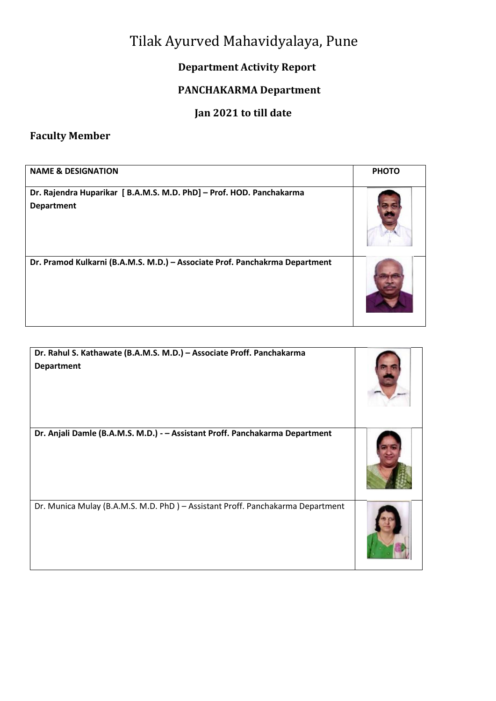# Tilak Ayurved Mahavidyalaya, Pune

### **Department Activity Report**

# **PANCHAKARMA Department**

## **Jan 2021 to till date**

# **Faculty Member**

| <b>NAME &amp; DESIGNATION</b>                                                             | <b>PHOTO</b> |
|-------------------------------------------------------------------------------------------|--------------|
| Dr. Rajendra Huparikar [ B.A.M.S. M.D. PhD] - Prof. HOD. Panchakarma<br><b>Department</b> |              |
| Dr. Pramod Kulkarni (B.A.M.S. M.D.) - Associate Prof. Panchakrma Department               |              |

| Dr. Rahul S. Kathawate (B.A.M.S. M.D.) - Associate Proff. Panchakarma<br><b>Department</b> |  |
|--------------------------------------------------------------------------------------------|--|
| Dr. Anjali Damle (B.A.M.S. M.D.) - - Assistant Proff. Panchakarma Department               |  |
| Dr. Munica Mulay (B.A.M.S. M.D. PhD) - Assistant Proff. Panchakarma Department             |  |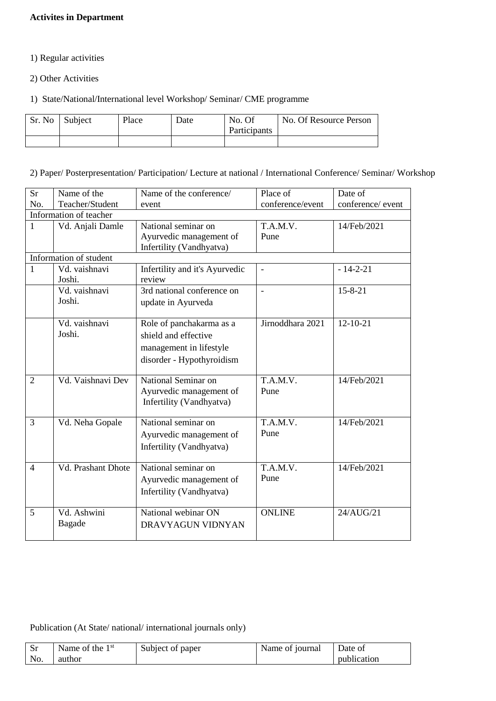#### **Activites in Department**

- 1) Regular activities
- 2) Other Activities
- 1) State/National/International level Workshop/ Seminar/ CME programme

| Sr. No Subject | Place | Date | No. Of<br>Participants | No. Of Resource Person |
|----------------|-------|------|------------------------|------------------------|
|                |       |      |                        |                        |

2) Paper/ Posterpresentation/ Participation/ Lecture at national / International Conference/ Seminar/ Workshop

| <b>Sr</b>      | Name of the            | Name of the conference/        | Place of                 | Date of           |
|----------------|------------------------|--------------------------------|--------------------------|-------------------|
| No.            | Teacher/Student        | event                          | conference/event         | conference/ event |
|                | Information of teacher |                                |                          |                   |
| 1              | Vd. Anjali Damle       | National seminar on            | T.A.M.V.                 | 14/Feb/2021       |
|                |                        | Ayurvedic management of        | Pune                     |                   |
|                |                        | Infertility (Vandhyatva)       |                          |                   |
|                | Information of student |                                |                          |                   |
| 1              | Vd. vaishnavi          | Infertility and it's Ayurvedic | $\overline{\phantom{a}}$ | $-14-2-21$        |
|                | Joshi.                 | review                         |                          |                   |
|                | Vd. vaishnavi          | 3rd national conference on     |                          | $15 - 8 - 21$     |
|                | Joshi.                 | update in Ayurveda             |                          |                   |
|                |                        |                                |                          |                   |
|                | Vd. vaishnavi          | Role of panchakarma as a       | Jirnoddhara 2021         | $12 - 10 - 21$    |
|                | Joshi.                 | shield and effective           |                          |                   |
|                |                        | management in lifestyle        |                          |                   |
|                |                        | disorder - Hypothyroidism      |                          |                   |
|                |                        |                                |                          |                   |
| $\overline{2}$ | Vd. Vaishnavi Dev      | National Seminar on            | T.A.M.V.                 | 14/Feb/2021       |
|                |                        | Ayurvedic management of        | Pune                     |                   |
|                |                        | Infertility (Vandhyatva)       |                          |                   |
|                |                        |                                |                          |                   |
| 3              | Vd. Neha Gopale        | National seminar on            | T.A.M.V.                 | 14/Feb/2021       |
|                |                        | Ayurvedic management of        | Pune                     |                   |
|                |                        | Infertility (Vandhyatva)       |                          |                   |
|                |                        |                                |                          |                   |
| $\overline{4}$ | Vd. Prashant Dhote     | National seminar on            | T.A.M.V.                 | 14/Feb/2021       |
|                |                        | Ayurvedic management of        | Pune                     |                   |
|                |                        |                                |                          |                   |
|                |                        | Infertility (Vandhyatva)       |                          |                   |
|                | Vd. Ashwini            | National webinar ON            | <b>ONLINE</b>            |                   |
| 5              |                        |                                |                          | 24/AUG/21         |
|                | Bagade                 | DRAVYAGUN VIDNYAN              |                          |                   |
|                |                        |                                |                          |                   |

#### Publication (At State/ national/ international journals only)

| - Sr | Name of the $1st$ | Subject of paper | Name of journal | ∣ Date of   |
|------|-------------------|------------------|-----------------|-------------|
| No.  | author            |                  |                 | publication |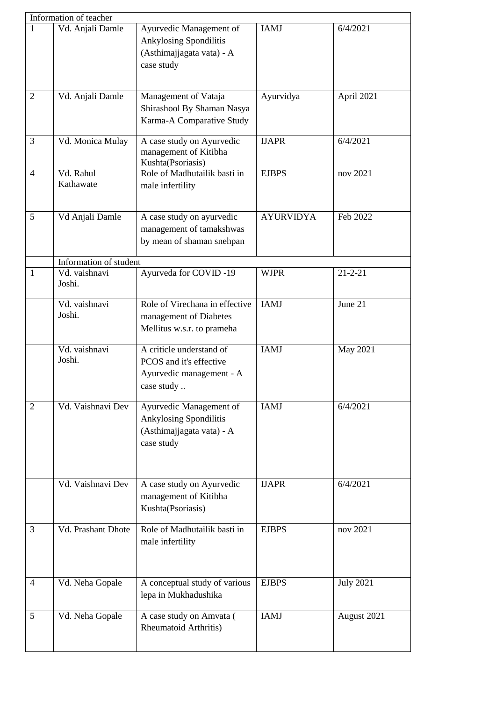|                | Information of teacher  |                                                                                               |                  |                  |
|----------------|-------------------------|-----------------------------------------------------------------------------------------------|------------------|------------------|
| 1              | Vd. Anjali Damle        | Ayurvedic Management of<br>Ankylosing Spondilitis<br>(Asthimajjagata vata) - A<br>case study  | <b>IAMJ</b>      | 6/4/2021         |
| $\overline{2}$ | Vd. Anjali Damle        | Management of Vataja<br>Shirashool By Shaman Nasya<br>Karma-A Comparative Study               | Ayurvidya        | April 2021       |
| 3              | Vd. Monica Mulay        | A case study on Ayurvedic<br>management of Kitibha<br>Kushta(Psoriasis)                       | <b>IJAPR</b>     | 6/4/2021         |
| $\overline{4}$ | Vd. Rahul<br>Kathawate  | Role of Madhutailik basti in<br>male infertility                                              | <b>EJBPS</b>     | nov 2021         |
| 5              | Vd Anjali Damle         | A case study on ayurvedic<br>management of tamakshwas<br>by mean of shaman snehpan            | <b>AYURVIDYA</b> | Feb 2022         |
|                | Information of student  |                                                                                               |                  |                  |
| $\mathbf{1}$   | Vd. vaishnavi<br>Joshi. | Ayurveda for COVID-19                                                                         | <b>WJPR</b>      | $21 - 2 - 21$    |
|                | Vd. vaishnavi<br>Joshi. | Role of Virechana in effective<br>management of Diabetes<br>Mellitus w.s.r. to prameha        | <b>IAMJ</b>      | June 21          |
|                | Vd. vaishnavi<br>Joshi. | A criticle understand of<br>PCOS and it's effective<br>Ayurvedic management - A<br>case study | <b>IAMJ</b>      | May 2021         |
| $\overline{2}$ | Vd. Vaishnavi Dev       | Ayurvedic Management of<br>Ankylosing Spondilitis<br>(Asthimajjagata vata) - A<br>case study  | <b>IAMJ</b>      | 6/4/2021         |
|                | Vd. Vaishnavi Dev       | A case study on Ayurvedic<br>management of Kitibha<br>Kushta(Psoriasis)                       | <b>IJAPR</b>     | 6/4/2021         |
| 3              | Vd. Prashant Dhote      | Role of Madhutailik basti in<br>male infertility                                              | <b>EJBPS</b>     | nov 2021         |
| $\overline{4}$ | Vd. Neha Gopale         | A conceptual study of various<br>lepa in Mukhadushika                                         | <b>EJBPS</b>     | <b>July 2021</b> |
| 5              | Vd. Neha Gopale         | A case study on Amvata (<br><b>Rheumatoid Arthritis)</b>                                      | <b>IAMJ</b>      | August 2021      |